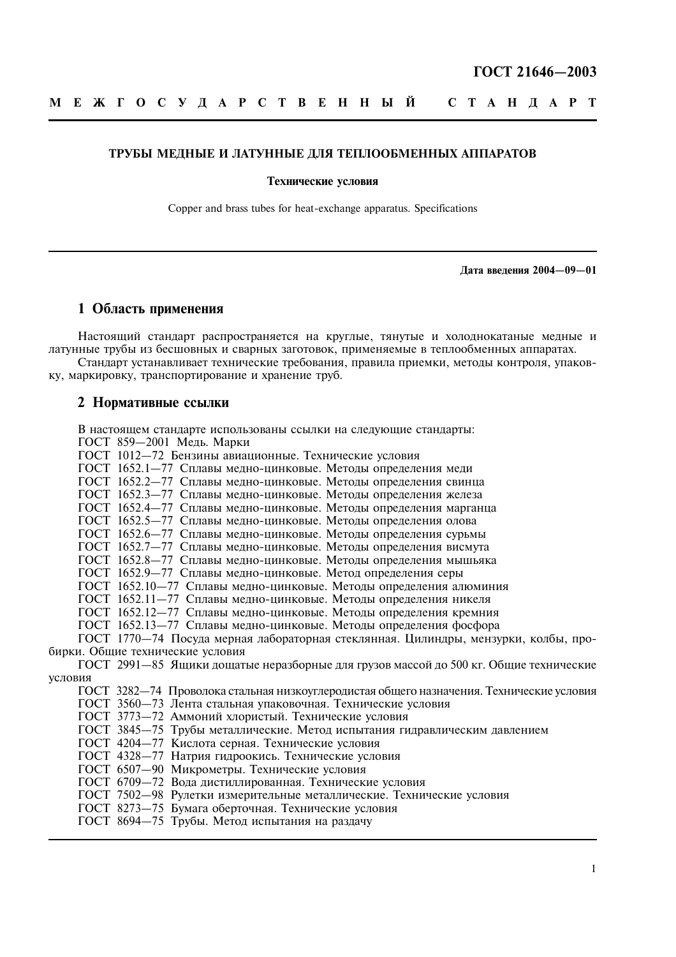#### ТРУБЫ МЕДНЫЕ И ЛАТУННЫЕ ДЛЯ ТЕПЛООБМЕННЫХ АППАРАТОВ

#### Технические условия

Copper and brass tubes for heat-exchange apparatus. Specifications

Дата введения 2004-09-01

## 1 Область применения

Настоящий стандарт распространяется на круглые, тянутые и холоднокатаные медные и латунные трубы из бесшовных и сварных заготовок, применяемые в теплообменных аппаратах.

Стандарт устанавливает технические требования, правила приемки, методы контроля, упаковку, маркировку, транспортирование и хранение труб.

## 2 Нормативные ссылки

В настоящем стандарте использованы ссылки на следующие стандарты: ГОСТ 859-2001 Медь. Марки

ГОСТ 1012-72 Бензины авиационные. Технические условия

ГОСТ 1652.1-77 Сплавы медно-цинковые. Методы определения меди

ГОСТ 1652.2-77 Сплавы медно-цинковые. Методы определения свинца

ГОСТ 1652.3-77 Сплавы медно-цинковые. Метолы определения железа

ГОСТ 1652.4-77 Сплавы медно-цинковые. Методы определения марганца

ГОСТ 1652.5-77 Сплавы медно-цинковые. Методы определения олова

ГОСТ 1652.6-77 Сплавы медно-цинковые. Методы определения сурьмы

ГОСТ 1652.7-77 Сплавы медно-цинковые. Методы определения висмута

ГОСТ 1652.8-77 Сплавы медно-цинковые. Методы определения мышьяка

ГОСТ 1652.9-77 Сплавы медно-цинковые. Метод определения серы

ГОСТ 1652.10-77 Сплавы медно-цинковые. Методы определения алюминия<br>ГОСТ 1652.11-77 Сплавы медно-цинковые. Методы определения алюминия<br>ГОСТ 1652.11-77 Сплавы медно-цинковые. Методы определения никеля

ГОСТ 1652.13-77 Сплавы медно-цинковые. Методы определения фосфора

ГОСТ 1770—74 Посуда мерная лабораторная стеклянная. Цилиндры, мензурки, колбы, пробирки. Общие технические условия

ГОСТ 2991-85 Ящики дощатые неразборные для грузов массой до 500 кг. Общие технические условия

ГОСТ 3282-74 Проволока стальная низкоуглеродистая общего назначения. Технические условия

ГОСТ 3560-73 Лента стальная упаковочная. Технические условия

ГОСТ 3773-72 Аммоний хлористый. Технические условия

ГОСТ 3845-75 Трубы металлические. Метод испытания гидравлическим давлением

ГОСТ 4204-77 Кислота серная. Технические условия

ГОСТ 4328-77 Натрия гидроокись. Технические условия

ГОСТ 6507-90 Микрометры. Технические условия

ГОСТ 6709-72 Вода дистиллированная. Технические условия

ГОСТ 7502-98 Рулетки измерительные металлические. Технические условия

ГОСТ 8273-75 Бумага оберточная. Технические условия

ГОСТ 8694-75 Трубы. Метод испытания на раздачу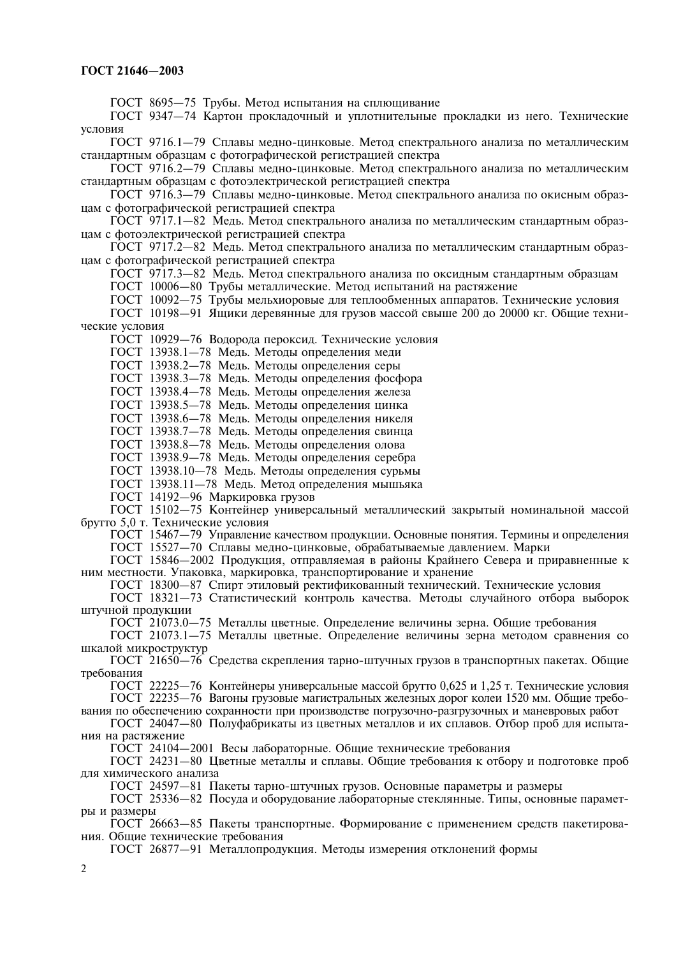ГОСТ 8695—75 Трубы. Метод испытания на сплющивание

ГОСТ 934/—74 Картон прокладочный и уплотнительные прокладки из него. Технические vcловия

I OC I 9/16.1—79 Сплавы медно-цинковые. Метод спектрального анализа по металлическим стандартным образцам с фотографической регистрацией спектра

I OCT 9716.2—79 Сплавы медно-цинковые. Метод спектрального анализа по металлическим стандартным образцам с фотоэлектрической регистрацией спектра

I OCT 9716.3—79 Сплавы медно-цинковые. Метод спектрального анализа по окисным образцам с фотографической регистрацией спектра

I OCT 9717.1—82 Медь. Метод спектрального анализа по металлическим стандартным образцам с фотоэлектрической регистрацией спектра

I OCT 9717.2—82 Медь. Метод спектрального анализа по металлическим стандартным образцам с фотографической регистрацией спектра

I OCT 9717.3—82 Медь. Метод спектрального анализа по оксидным стандартным образцам

I OCT I0006—80 Трубы металлические. Метод испытаний на растяжение

I OC I 10092—75 I рубы мельхиоровые для теплообменных аппаратов. І ехнические условия

I OC I \ 10198—91 УНщики деревянные для грузов массой свыше 200 до 20000 кг. Общие технические условия

ГОСТ 10929—76 Водорода пероксид. Технические условия

ГОСТ 13938.I—78 Медь. Методы определения меди

ГОСТ 13938.2—78 Медь. Методы определения серы

ГОСТ 13938.3—78 Медь. Методы определения фосфора

ГОСТ 13938.4—78 Медь. Методы определения железа

ГОСТ 13938.5—78 Медь. Методы определения цинка

ГОСТ 13938.6—78 Медь. Методы определения никеля

ГОСТ 13938.7—78 Медь. Методы определения свинца

ГОСТ 13938.8—78 Медь. Методы определения олова

ГОСТ 13938.9—78 Медь. Методы определения серебра

ГОСТ 13938.10—78 Медь. Методы определения сурьмы

ГОСТ 13938.II—78 Медь. Метод определения мышьяка

ГОСТ 14192—96 Маркировка грузов

I OCT 15102—75 Контейнер универсальный металлический закрытый номинальной массой орутто 5,0 т. Технические условия

ГОСТ 1546/-79 Управление качеством продукции. Основные понятия. Термины и определения

ГОСТ 15527—70 Сплавы медно-цинковые, обрабатываемые давлением. Марки

ГОСТ 15846—2002 Продукция, отправляемая в районы Крайнего Севера и приравненные к ним местности. Упаковка, маркировка, транспортирование и хранение

ГОСТ 18300—8/ Спирт этиловый ректификованный технический. Технические условия

ГОСТ 18321—73 Статистический контроль качества. Методы случайного отбора выборок штучной продукции

ГОСТ 21073.0—75 Металлы цветные. Определение величины зерна. Общие требования

I OC I 210/3.1—/5 Металлы цветные. Определение величины зерна методом сравнения со шкалой микроструктур

I OCT 21650—76 Средства скрепления тарно-штучных грузов в транспортных пакетах. Общие требования

 $\overline{10}$ CT 22225—76 Контейнеры универсальные массой брутто 0,625 и 1,25 т. Технические условия I OC 1 22235—76 Вагоны грузовые магистральных железных дорог колеи 1520 мм. Общие требо-

вания по обеспечению сохранности при производстве погрузочно-разгрузочных и маневровых работ

I OCT 24047—80 Полуфабрикаты из цветных металлов и их сплавов. Отбор проб для испытания на растяжение

ПОСТ 24104—2001 Весы лабораторные. Общие технические требования

 $10C1$  24231—80 Цветные металлы и сплавы. Общие требования к отбору и подготовке проб для химического анализа

ГОСТ 2459/-81 Пакеты тарно-штучных грузов. Основные параметры и размеры

I OCT 25336—82 Посуда и оборудование лабораторные стеклянные. Типы, основные параметры и размеры

IOCT 26663—85 Пакеты транспортные. Формирование с применением средств пакетирования. Общие технические требования

ГОСТ 26877—91 Металлопродукция. Методы измерения отклонений формы

 $\mathfrak{D}$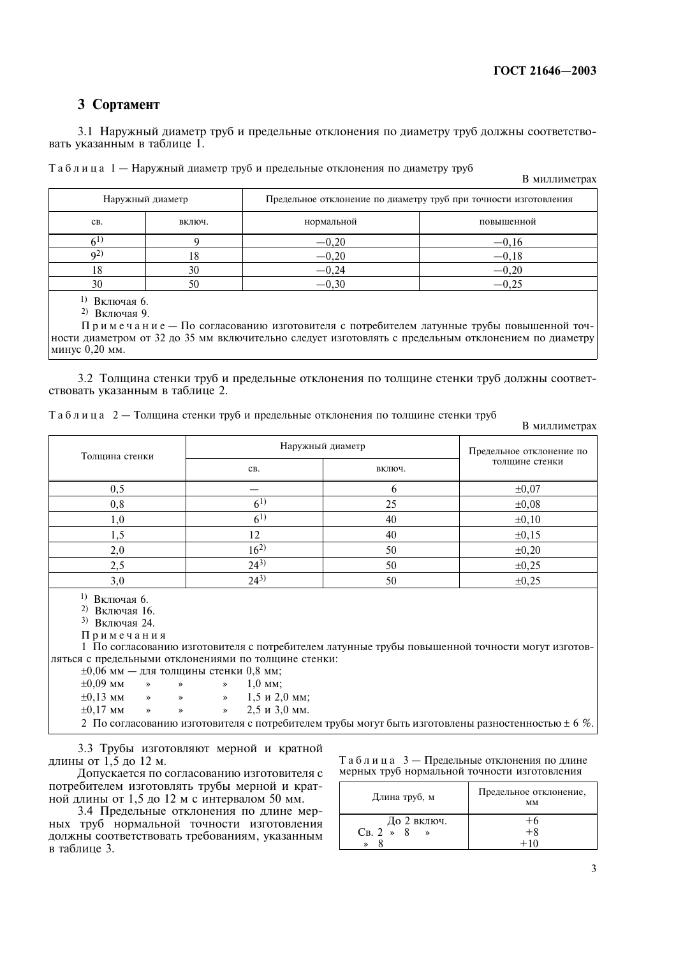## 3 Сортамент

3.1 Наружный диаметр труб и предельные отклонения по диаметру труб должны соответствовать указанным в таблице 1.

В миллиметрах

|                | Наружный диаметр | Предельное отклонение по диаметру труб при точности изготовления |            |  |  |  |  |
|----------------|------------------|------------------------------------------------------------------|------------|--|--|--|--|
| CB.            | включ.           | нормальной                                                       | повышенной |  |  |  |  |
|                |                  | $-0,20$                                                          | $-0,16$    |  |  |  |  |
| q <sub>2</sub> | . $\circ$        | $-0,20$                                                          | $-0,18$    |  |  |  |  |
| 10             | 30               | $-0,24$                                                          | $-0,20$    |  |  |  |  |
| 30             | 50               | $-0,30$                                                          |            |  |  |  |  |

<sup>1)</sup> Включая 6.

<sup>2)</sup> Включая 9.

Примечание — По согласованию изготовителя с потребителем латунные трубы повышенной точности диаметром от 32 до 35 мм включительно следует изготовлять с предельным отклонением по диаметру минус  $0.20$  мм.

3.2 Толщина стенки труо и предельные отклонения по толщине стенки труо должны соответствовать указанным в таблице 2.

| Таблица 2 — Толщина стенки труб и предельные отклонения по толщине стенки труб |  |  |  |  |  |  |
|--------------------------------------------------------------------------------|--|--|--|--|--|--|
|                                                                                |  |  |  |  |  |  |

В миллиметрах

| Толщина стенки | Наружный диаметр | Предельное отклонение по |                |  |
|----------------|------------------|--------------------------|----------------|--|
|                | CB.              | ВКЛЮЧ.                   | толщине стенки |  |
| 0,5            |                  |                          | $\pm 0.07$     |  |
| 0, 8           | 6 <sup>1</sup>   | 25                       | $\pm 0.08$     |  |
| $1.0\,$        | (61)             | 40                       | $\pm 0, 10$    |  |
|                | 12               | 40                       | ±0,15          |  |
| 2,0            | $16^{2}$         | 50                       | $\pm 0,20$     |  |
| 2,5            | $24^{3}$         | 50                       | $\pm 0,25$     |  |
| 3,0            | $24^{3}$         | 50                       | $\pm 0,25$     |  |

<sup>1)</sup> Включая 6.

<sup>2)</sup> Включая 16.

 $^{3)}$  Включая 24.

Примечания

1 По согласованию изготовителя с потребителем латунные трубы повышенной точности могут изготовляться с предельными отклонениями по толшине стенки:

| $\pm 0.09$ MM $\rightarrow$ $\rightarrow$ $\rightarrow$ 1.0 MM: |  |                                                                       |
|-----------------------------------------------------------------|--|-----------------------------------------------------------------------|
|                                                                 |  | $\pm 0.13$ MM $\rightarrow$ $\rightarrow$ $\pm 1.5$ $\mu$ 2.0 MM;     |
|                                                                 |  | $\pm 0.17$ MM $\rightarrow$ $\rightarrow$ $\rightarrow$ 2.5 и 3.0 мм. |

3.3 Груоы изготовляют мерной и кратной длины от 1,5 до 12 м.

Допускается по согласованию изготовителя с потребителем изготовлять трубы мерной и кратной длины от 1,5 до 12 м с интервалом 50 мм.

3.4 Предельные отклонения по длине мерных труо нормальной точности изготовления должны соответствовать требованиям, указанным в таблице 3.

 $T a 6 \pi u u a 3 - \Pi$ редельные отклонения по длине мерных труб нормальной точности изготовления

| Длина труб, м                       | Предельное отклонение,<br>MМ |
|-------------------------------------|------------------------------|
| До 2 включ.<br>$CB.2 \rightarrow 8$ | +h<br>$+8$<br>+10            |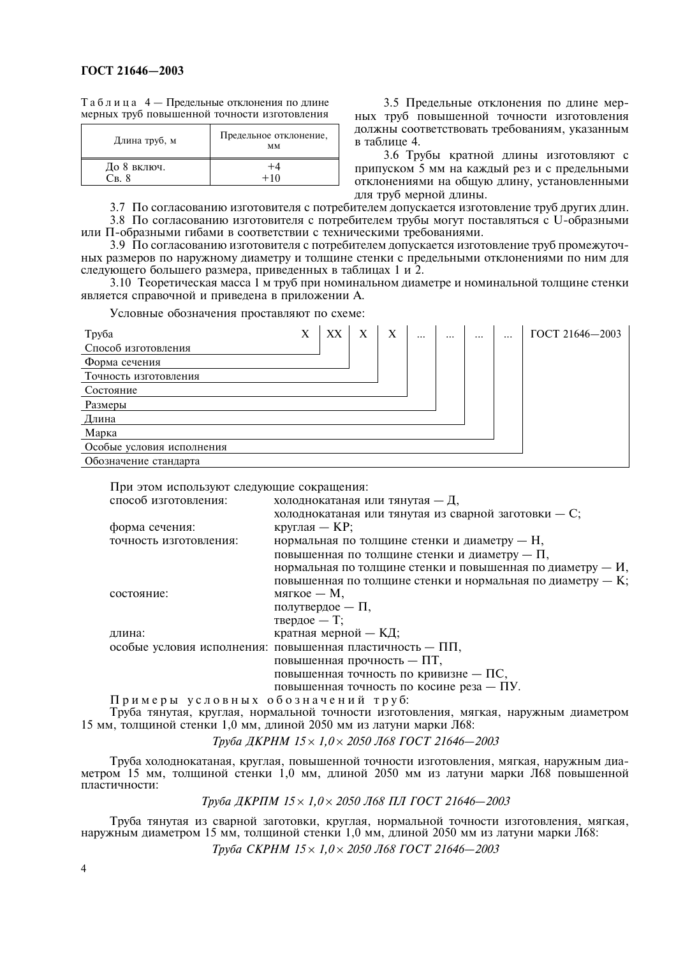Таблица 4 — Предельные отклонения по длине мерных труб повышенной точности изготовления

| Длина труб, м                      | Предельное отклонение,<br>MМ |
|------------------------------------|------------------------------|
| До 8 включ.<br>$C_{\rm R, \Delta}$ | $+10$                        |

3.5 Предельные отклонения по длине мерных труб повышенной точности изготовления должны соответствовать требованиям, указанным в таблине 4.

3.6 Трубы кратной длины изготовляют с припуском 5 мм на каждый рез и с предельными отклонениями на общую длину, установленными для труб мерной длины.

3.7 По согласованию изготовителя с потребителем допускается изготовление труб других длин. 3.8 По согласованию изготовителя с потребителем трубы могут поставляться с U-образными

или П-образными гибами в соответствии с техническими требованиями. 3.9 По согласованию изготовителя с потребителем допускается изготовление труб промежуточ-

ных размеров по наружному диаметру и толщине стенки с предельными отклонениями по ним для следующего большего размера, приведенных в таблицах 1 и 2.

3.10 Теоретическая масса 1 м труб при номинальном диаметре и номинальной толщине стенки является справочной и приведена в приложении А.

Условные обозначения проставляют по схеме:

| Труба                     | X | XX | X | X | $\cdots$ | <br>$\cdots$ | $\cdots$ | ГОСТ 21646-2003 |
|---------------------------|---|----|---|---|----------|--------------|----------|-----------------|
| Способ изготовления       |   |    |   |   |          |              |          |                 |
| Форма сечения             |   |    |   |   |          |              |          |                 |
| Точность изготовления     |   |    |   |   |          |              |          |                 |
| Состояние                 |   |    |   |   |          |              |          |                 |
| Размеры                   |   |    |   |   |          |              |          |                 |
| Длина                     |   |    |   |   |          |              |          |                 |
| Марка                     |   |    |   |   |          |              |          |                 |
| Особые условия исполнения |   |    |   |   |          |              |          |                 |
| Обозначение станларта     |   |    |   |   |          |              |          |                 |

При этом используют следующие сокращения:

| способ изготовления:   | холоднокатаная или тянутая $-$ Д,                             |
|------------------------|---------------------------------------------------------------|
|                        | холоднокатаная или тянутая из сварной заготовки - С;          |
| форма сечения:         | круглая — $KP$ ;                                              |
| точность изготовления: | нормальная по толщине стенки и диаметру — $H$ ,               |
|                        | повышенная по толщине стенки и диаметру — $\Pi$ ,             |
|                        | нормальная по толщине стенки и повышенная по диаметру — $M$ , |
|                        | повышенная по толщине стенки и нормальная по диаметру – $K$ ; |
| состояние:             | мягкое — М,                                                   |
|                        | полутвердое — $\Pi$ ,                                         |
|                        | твердое - Т;                                                  |
| длина:                 | кратная мерной — КД;                                          |
|                        | особые условия исполнения: повышенная пластичность - ПП,      |
|                        | повышенная прочность - ПТ,                                    |
|                        | повышенная точность по кривизне - ПС,                         |
|                        | повышенная точность по косине реза - ПУ.                      |

Примеры условных обозначений труб:

Труба тянутая, круглая, нормальной точности изготовления, мягкая, наружным диаметром 15 мм, толщиной стенки 1,0 мм, длиной 2050 мм из латуни марки Л68:

Труба ДКРНМ 15 × 1,0 × 2050 Л68 ГОСТ 21646-2003

Труба холоднокатаная, круглая, повышенной точности изготовления, мягкая, наружным диаметром 15 мм, толщиной стенки 1,0 мм, длиной 2050 мм из латуни марки Л68 повышенной пластичности:

Труба ДКРПМ 15 × 1,0 × 2050 Л68 ПЛ ГОСТ 21646-2003

Труба тянутая из сварной заготовки, круглая, нормальной точности изготовления, мягкая, наружным диаметром 15 мм, толщиной стенки 1,0 мм, длиной 2050 мм из латуни марки Л68:

Труба СКРНМ 15 × 1,0 × 2050 Л68 ГОСТ 21646-2003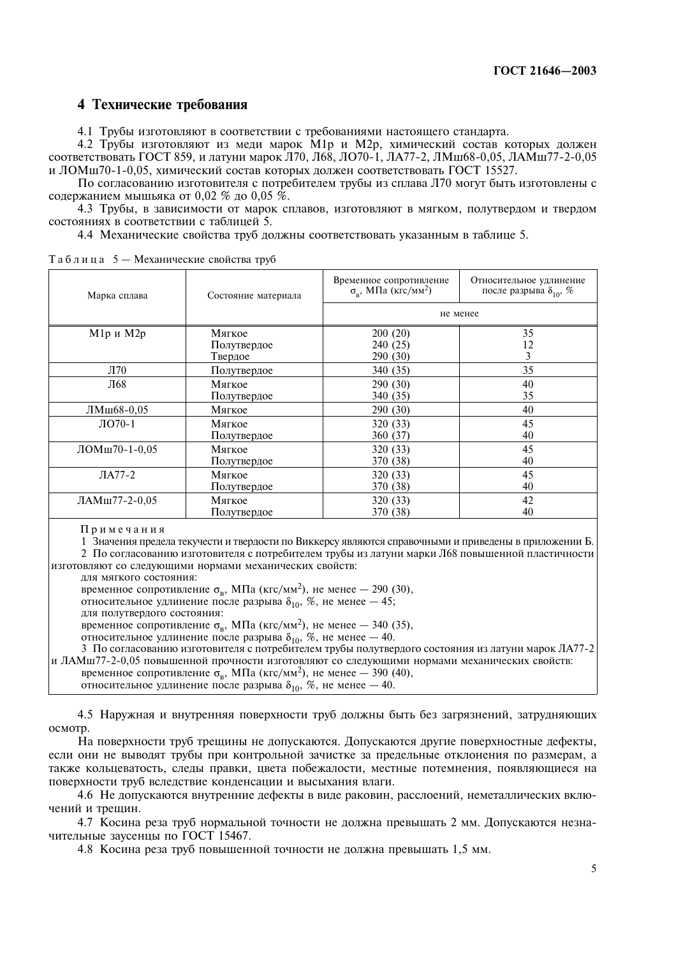## 4 Технические требования

4.1 Трубы изготовляют в соответствии с требованиями настоящего стандарта.

4.2 Трубы изготовляют из меди марок М1р и М2р, химический состав которых должен соответствовать ГОСТ 859, и латуни марок Л70, Л68, ЛО70-1, ЛА77-2, ЛМш68-0,05, ЛАМш77-2-0,05 и ЛОМш70-1-0,05, химический состав которых должен соответствовать ГОСТ 15527.

По согласованию изготовителя с потребителем трубы из сплава Л70 могут быть изготовлены с содержанием мышьяка от 0,02 % до 0,05 %.

4.3 Трубы, в зависимости от марок сплавов, изготовляют в мягком, полутвердом и твердом состояниях в соответствии с таблицей 5.

4.4 Механические свойства труб должны соответствовать указанным в таблице 5.

| Марка сплава    | Состояние материала | Временное сопротивление<br>$\sigma_{\rm o}$ , МПа (кгс/мм <sup>2</sup> ) | Относительное удлинение<br>после разрыва $\delta_{10}$ , % |
|-----------------|---------------------|--------------------------------------------------------------------------|------------------------------------------------------------|
|                 |                     | не менее                                                                 |                                                            |
| М1р и М2р       | Мягкое              | 200(20)                                                                  | 35                                                         |
|                 | Полутвердое         | 240 (25)                                                                 | 12                                                         |
|                 | Твердое             | 290 (30)                                                                 | 3                                                          |
| Л70             | Полутвердое         | 340 (35)                                                                 | 35                                                         |
| Л68             | Мягкое              | 290 (30)                                                                 | 40                                                         |
|                 | Полутвердое         | 340 (35)                                                                 | 35                                                         |
| ЛМш68-0,05      | Мягкое              | 290 (30)                                                                 | 40                                                         |
| $\text{IO}70-1$ | Мягкое              | 320 (33)                                                                 | 45                                                         |
|                 | Полутвердое         | 360 (37)                                                                 | 40                                                         |
| ЛОМш70-1-0,05   | Мягкое              | 320 (33)                                                                 | 45                                                         |
|                 | Полутвердое         | 370 (38)                                                                 | 40                                                         |
| $JIA77-2$       | Мягкое              | 320 (33)                                                                 | 45                                                         |
|                 | Полутвердое         | 370 (38)                                                                 | 40                                                         |
| ЛАМш77-2-0,05   | Мягкое              | 320 (33)                                                                 | 42                                                         |
|                 | Полутвердое         | 370 (38)                                                                 | 40                                                         |

Таблица 5 - Механические свойства труб

Примечания

1 Значения предела текучести и твердости по Виккерсу являются справочными и приведены в приложении Б.

2 По согласованию изготовителя с потребителем трубы из латуни марки Л68 повышенной пластичности изготовляют со следующими нормами механических свойств:

для мягкого состояния:

временное сопротивление  $\sigma_{\rm B}$ , МПа (кгс/мм<sup>2</sup>), не менее - 290 (30),

относительное удлинение после разрыва  $\delta_{10}$ , %, не менее - 45;

для полутвердого состояния:

временное сопротивление  $\sigma_{\rm B}$ , МПа (кгс/мм<sup>2</sup>), не менее – 340 (35),

относительное удлинение после разрыва  $\delta_{10}$ , %, не менее - 40.

3 По согласованию изготовителя с потребителем трубы полутвердого состояния из латуни марок ЛА77-2 и ЛАМш77-2-0,05 повышенной прочности изготовляют со следующими нормами механических свойств:

временное сопротивление  $\sigma_{\rm B}$ , МПа (кгс/мм<sup>2</sup>), не менее – 390 (40), относительное удлинение после разрыва  $\delta_{10}$ , %, не менее - 40.

4.5 Наружная и внутренняя поверхности труб должны быть без загрязнений, затрудняющих осмотр.

На поверхности труб трещины не допускаются. Допускаются другие поверхностные дефекты, если они не выводят трубы при контрольной зачистке за предельные отклонения по размерам, а также кольцеватость, следы правки, цвета побежалости, местные потемнения, появляющиеся на поверхности труб вследствие конденсации и высыхания влаги.

4.6 Не допускаются внутренние дефекты в виде раковин, расслоений, неметаллических включений и трещин.

4.7 Косина реза труб нормальной точности не должна превышать 2 мм. Допускаются незначительные заусенцы по ГОСТ 15467.

4.8 Косина реза труб повышенной точности не должна превышать 1,5 мм.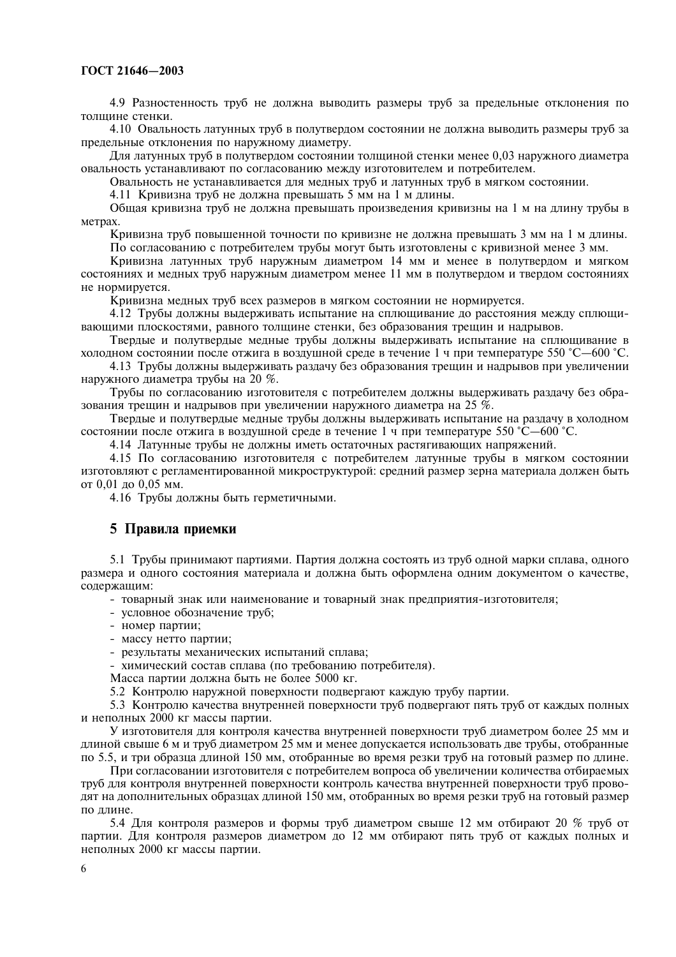4.9 Разностенность труб не должна выводить размеры труб за предельные отклонения по толщине стенки.

4.10 Овальность латунных труб в полутвердом состоянии не должна выводить размеры труб за предельные отклонения по наружному диаметру.

Для латунных труб в полутвердом состоянии толщиной стенки менее 0,03 наружного диаметра овальность устанавливают по согласованию между изготовителем и потребителем.

Овальность не устанавливается для медных труб и латунных труб в мягком состоянии.

4.11 Кривизна труб не должна превышать 5 мм на 1 м длины.

Общая кривизна труб не должна превышать произведения кривизны на 1 м на длину трубы в метрах.

Кривизна труб повышенной точности по кривизне не должна превышать 3 мм на 1 м длины.

По согласованию с потребителем трубы могут быть изготовлены с кривизной менее 3 мм.

Кривизна латунных труб наружным диаметром 14 мм и менее в полутвердом и мягком состояниях и мелных труб наружным лиаметром менее 11 мм в полутвердом и твердом состояниях не нормируется.

Кривизна медных труб всех размеров в мягком состоянии не нормируется.

4.12 Трубы должны выдерживать испытание на сплющивание до расстояния между сплющивающими плоскостями, равного толщине стенки, без образования трещин и надрывов.

Твердые и полутвердые медные трубы должны выдерживать испытание на сплющивание в холодном состоянии после отжига в воздушной среде в течение 1 ч при температуре 550 °C—600 °С.

4.13 Трубы должны выдерживать раздачу без образования трещин и надрывов при увеличении наружного диаметра трубы на 20 %.

Трубы по согласованию изготовителя с потребителем должны выдерживать раздачу без образования трешин и налрывов при увеличении наружного лиаметра на 25 %.

Тверлые и полутверлые мелные трубы лолжны вылерживать испытание на разлачу в хололном состоянии после отжига в возлушной среде в течение 1 ч при температуре 550 °C-600 °C.

4.14 Латунные трубы не должны иметь остаточных растягивающих напряжений.

4.15 По согласованию изготовителя с потребителем латунные трубы в мягком состоянии изготовляют с регламентированной микроструктурой: средний размер зерна материала должен быть от 0,01 до 0,05 мм.

4.16 Трубы должны быть герметичными.

## 5 Правила приемки

5.1 Трубы принимают партиями. Партия должна состоять из труб одной марки сплава, одного размера и одного состояния материала и должна быть оформлена одним документом о качестве, солержашим:

- товарный знак или наименование и товарный знак предприятия-изготовителя;

- условное обозначение труб:

- номер партии;

- массу нетто партии;

- результаты механических испытаний сплава;

- химический состав сплава (по требованию потребителя).

Масса партии должна быть не более 5000 кг.

5.2 Контролю наружной поверхности подвергают каждую трубу партии.

5.3 Контролю качества внутренней поверхности труб полвергают пять труб от кажлых полных и неполных 2000 кг массы партии.

У изготовителя для контроля качества внутренней поверхности труб диаметром более 25 мм и длиной свыше 6 м и труб диаметром 25 мм и менее допускается использовать две трубы, отобранные по 5.5, и три образца длиной 150 мм, отобранные во время резки труб на готовый размер по длине.

При согласовании изготовителя с потребителем вопроса об увеличении количества отбираемых труб для контроля внутренней поверхности контроль качества внутренней поверхности труб проводят на дополнительных образцах длиной 150 мм, отобранных во время резки труб на готовый размер по ллине.

5.4 Для контроля размеров и формы труб диаметром свыше 12 мм отбирают 20 % труб от партии. Для контроля размеров диаметром до 12 мм отбирают пять труб от каждых полных и неполных 2000 кг массы партии.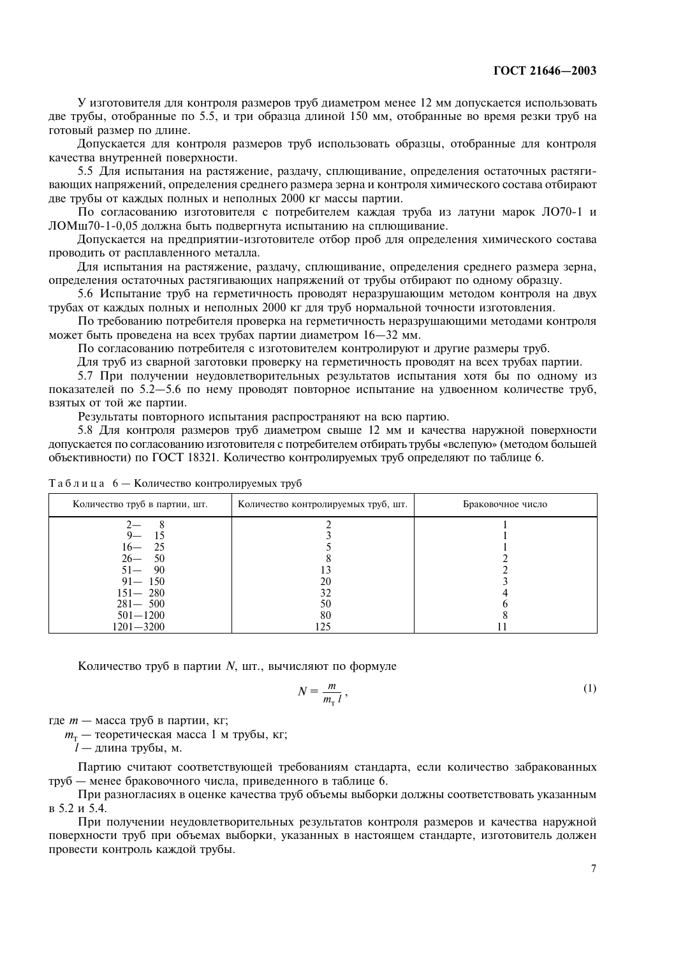У изготовителя для контроля размеров труб диаметром менее 12 мм допускается использовать две трубы, отобранные по 5.5, и три образца длиной 150 мм, отобранные во время резки труб на готовый размер по длине.

Допускается для контроля размеров труб использовать образцы, отобранные для контроля качества внутренней поверхности.

5.5 Для испытания на растяжение, раздачу, сплющивание, определения остаточных растягивающих напряжений, определения среднего размера зерна и контроля химического состава отбирают две трубы от каждых полных и неполных 2000 кг массы партии.

По согласованию изготовителя с потребителем каждая труба из латуни марок ЛО70-1 и ЛОМш70-1-0,05 должна быть подвергнута испытанию на сплющивание.

Допускается на предприятии-изготовителе отбор проб для определения химического состава проводить от расплавленного металла.

Для испытания на растяжение, раздачу, сплющивание, определения среднего размера зерна, определения остаточных растягивающих напряжений от трубы отбирают по одному образцу.

5.6 Испытание труб на герметичность проводят неразрушающим методом контроля на двух трубах от каждых полных и неполных 2000 кг для труб нормальной точности изготовления.

По требованию потребителя проверка на герметичность неразрушающими методами контроля может быть проведена на всех трубах партии диаметром 16-32 мм.

По согласованию потребителя с изготовителем контролируют и другие размеры труб.

Для труб из сварной заготовки проверку на герметичность проводят на всех трубах партии.

5.7 При получении неудовлетворительных результатов испытания хотя бы по одному из показателей по 5.2-5.6 по нему проводят повторное испытание на удвоенном количестве труб, взятых от той же партии.

Результаты повторного испытания распространяют на всю партию.

5.8 Для контроля размеров труб диаметром свыше 12 мм и качества наружной поверхности допускается по согласованию изготовителя с потребителем отбирать трубы «вслепую» (методом большей объективности) по ГОСТ 18321. Количество контролируемых труб определяют по таблице 6.

| Количество труб в партии, шт. | Количество контролируемых труб, шт. | Браковочное число |
|-------------------------------|-------------------------------------|-------------------|
|                               |                                     |                   |
|                               |                                     |                   |
| - 25<br>16—                   |                                     |                   |
| - 50<br>$26-$                 |                                     |                   |
| 90<br>$51 -$                  |                                     |                   |
| $91 - 150$                    | 20                                  |                   |
| $151 - 280$                   |                                     |                   |
| $281 - 500$                   | 50                                  |                   |
| $501 - 1200$                  | 80                                  |                   |
| $1201 - 3200$                 | 125                                 |                   |

Таблица 6 — Количество контролируемых труб

Количество труб в партии  $N$ , шт., вычисляют по формуле

$$
N = \frac{m}{m_{\tau} l},\tag{1}
$$

где  $m$  — масса труб в партии, кг;

 $m_{\rm r}$  — теоретическая масса 1 м трубы, кг;

 $l$  — длина трубы, м.

Партию считают соответствующей требованиям стандарта, если количество забракованных труб - менее браковочного числа, приведенного в таблице 6.

При разногласиях в оценке качества труб объемы выборки должны соответствовать указанным в 5.2 и 5.4.

При получении неудовлетворительных результатов контроля размеров и качества наружной поверхности труб при объемах выборки, указанных в настоящем стандарте, изготовитель должен провести контроль каждой трубы.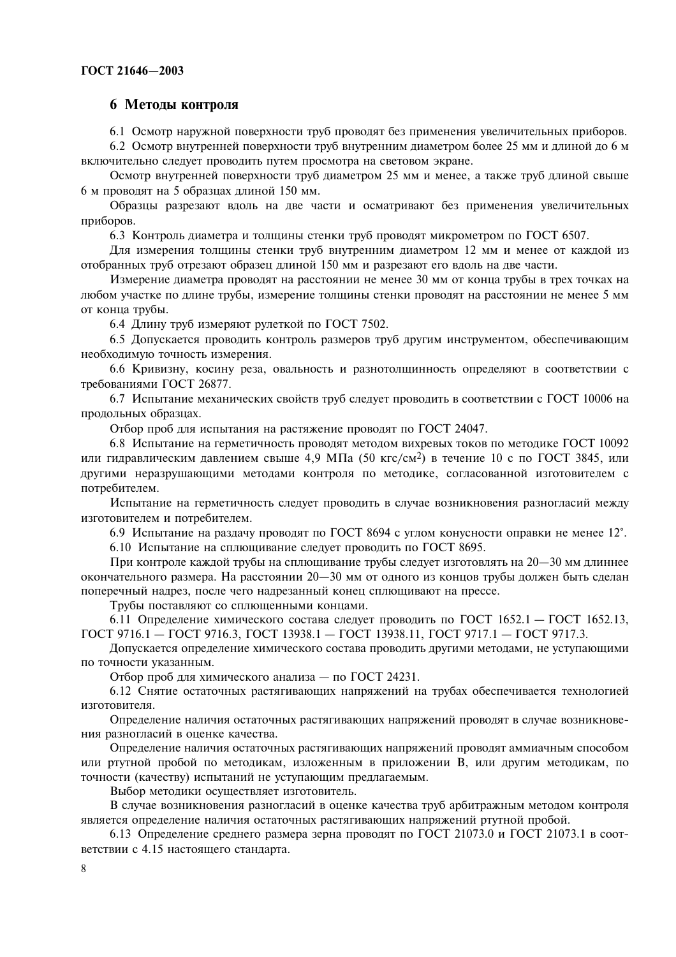## 6 Методы контроля

6.1 Осмотр наружной поверхности труб проводят без применения увеличительных приборов.

6.2 Осмотр внутренней поверхности труб внутренним диаметром более 25 мм и длиной до 6 м включительно следует проводить путем просмотра на световом экране.

Осмотр внутренней поверхности труб диаметром 25 мм и менее, а также труб длиной свыше 6 м проводят на 5 образцах длиной 150 мм.

Образцы разрезают вдоль на две части и осматривают без применения увеличительных приборов.

6.3 Контроль диаметра и толщины стенки труб проводят микрометром по ГОСТ 6507.

Для измерения толщины стенки труб внутренним диаметром 12 мм и менее от каждой из отобранных труб отрезают образец длиной 150 мм и разрезают его вдоль на две части.

Измерение диаметра проводят на расстоянии не менее 30 мм от конца трубы в трех точках на любом участке по длине трубы, измерение толщины стенки проводят на расстоянии не менее 5 мм от конца трубы.

6.4 Длину труб измеряют рулеткой по ГОСТ 7502.

6.5 Допускается проводить контроль размеров труб другим инструментом, обеспечивающим необходимую точность измерения.

6.6 Кривизну, косину реза, овальность и разнотолщинность определяют в соответствии с требованиями ГОСТ 26877.

6.7 Испытание механических свойств труб следует проводить в соответствии с ГОСТ 10006 на продольных образцах.

Отбор проб для испытания на растяжение проводят по ГОСТ 24047.

6.8 Испытание на герметичность проводят методом вихревых токов по методике ГОСТ 10092 или гидравлическим давлением свыше 4,9 МПа (50 кгс/см<sup>2</sup>) в течение 10 с по ГОСТ 3845, или другими неразрушающими методами контроля по методике, согласованной изготовителем с потребителем.

Испытание на герметичность следует проводить в случае возникновения разногласий между изготовителем и потребителем.

6.9 Испытание на раздачу проводят по ГОСТ 8694 с углом конусности оправки не менее 12°.

6.10 Испытание на сплющивание следует проводить по ГОСТ 8695.

При контроле каждой трубы на сплюшивание трубы следует изготовлять на 20-30 мм длиннее окончательного размера. На расстоянии 20-30 мм от одного из концов трубы должен быть сделан поперечный надрез, после чего надрезанный конец сплющивают на прессе.

Трубы поставляют со сплющенными концами.

6.11 Определение химического состава следует проводить по ГОСТ 1652.1 — ГОСТ 1652.13, ГОСТ 9716.1 - ГОСТ 9716.3, ГОСТ 13938.1 - ГОСТ 13938.11, ГОСТ 9717.1 - ГОСТ 9717.3.

Допускается определение химического состава проводить другими методами, не уступающими по точности указанным.

Отбор проб для химического анализа - по ГОСТ 24231.

6.12 Снятие остаточных растягивающих напряжений на трубах обеспечивается технологией изготовителя.

Определение наличия остаточных растягивающих напряжений проводят в случае возникновения разногласий в оценке качества.

Определение наличия остаточных растягивающих напряжений проводят аммиачным способом или ртутной пробой по методикам, изложенным в приложении В, или другим методикам, по точности (качеству) испытаний не уступающим предлагаемым.

Выбор методики осуществляет изготовитель.

В случае возникновения разногласий в оценке качества труб арбитражным методом контроля является определение наличия остаточных растягивающих напряжений ртутной пробой.

6.13 Определение среднего размера зерна проводят по ГОСТ 21073.0 и ГОСТ 21073.1 в соответствии с 4.15 настоящего стандарта.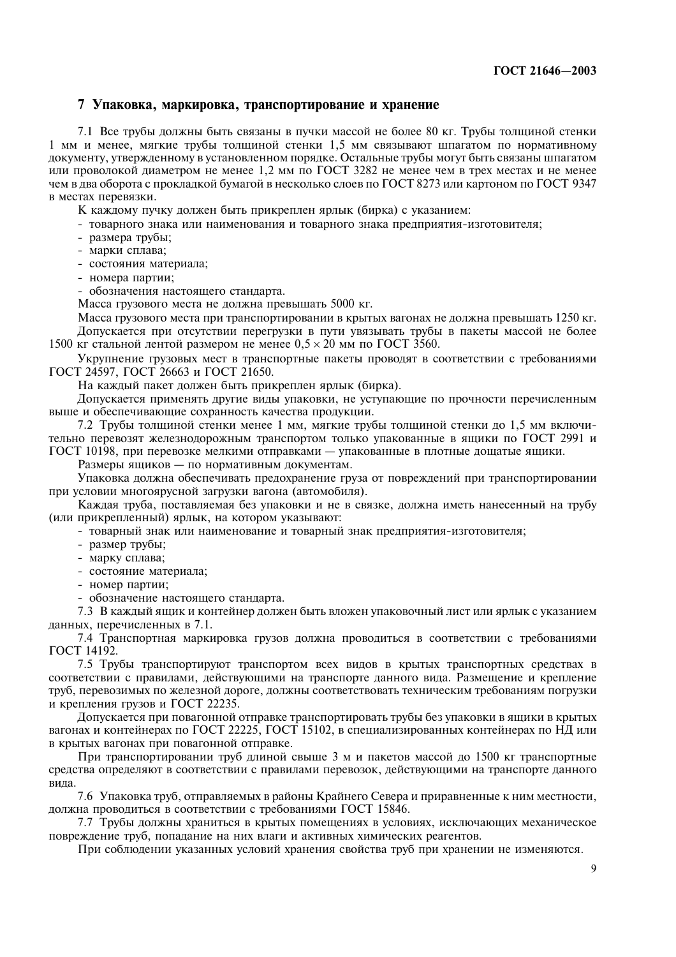## 7 Упаковка, маркировка, транспортирование и хранение

7.1 Все трубы должны быть связаны в пучки массой не более 80 кг. Трубы толщиной стенки 1 мм и менее, мягкие трубы толшиной стенки 1.5 мм связывают шпагатом по нормативному документу, утвержденному в установленном порядке. Остальные трубы могут быть связаны шпагатом или проволокой диаметром не менее 1.2 мм по ГОСТ 3282 не менее чем в трех местах и не менее чем в два оборота с прокладкой бумагой в несколько слоев по ГОСТ 8273 или картоном по ГОСТ 9347 в местах перевязки.

К каждому пучку должен быть прикреплен ярлык (бирка) с указанием:

- товарного знака или наименования и товарного знака прелприятия-изготовителя:
- размера трубы;
- марки сплава;
- состояния материала:
- номера партии;

- обозначения настоящего стандарта.

Масса грузового места не должна превышать 5000 кг.

Масса грузового места при транспортировании в крытых вагонах не должна превышать 1250 кг. Допускается при отсутствии перегрузки в пути увязывать трубы в пакеты массой не более 1500 кг стальной лентой размером не менее  $0.5 \times 20$  мм по ГОСТ 3560.

Укрупнение грузовых мест в транспортные пакеты проводят в соответствии с требованиями ГОСТ 24597, ГОСТ 26663 и ГОСТ 21650.

На каждый пакет должен быть прикреплен ярлык (бирка).

Допускается применять другие виды упаковки, не уступающие по прочности перечисленным выше и обеспечивающие сохранность качества продукции.

7.2 Трубы толщиной стенки менее 1 мм, мягкие трубы толщиной стенки до 1,5 мм включительно перевозят железнодорожным транспортом только упакованные в ящики по ГОСТ 2991 и ГОСТ 10198, при перевозке мелкими отправками - упакованные в плотные дощатые ящики.

Размеры ящиков - по нормативным документам.

Упаковка должна обеспечивать предохранение груза от повреждений при транспортировании при условии многоярусной загрузки вагона (автомобиля).

Каждая труба, поставляемая без упаковки и не в связке, должна иметь нанесенный на трубу (или прикрепленный) ярлык, на котором указывают:

- товарный знак или наименование и товарный знак предприятия-изготовителя;

- размер трубы;
- марку сплава:
- состояние материала;
- номер партии;

- обозначение настоящего стандарта.

7.3 В каждый ящик и контейнер должен быть вложен упаковочный лист или ярлык с указанием данных, перечисленных в 7.1.

7.4 Транспортная маркировка грузов должна проводиться в соответствии с требованиями ГОСТ 14192.

7.5 Трубы транспортируют транспортом всех видов в крытых транспортных средствах в соответствии с правилами, действующими на транспорте данного вида. Размещение и крепление труб, перевозимых по железной дороге, должны соответствовать техническим требованиям погрузки и крепления грузов и ГОСТ 22235.

Допускается при повагонной отправке транспортировать трубы без упаковки в ящики в крытых вагонах и контейнерах по ГОСТ 22225. ГОСТ 15102. в специализированных контейнерах по НД или в крытых вагонах при повагонной отправке.

При транспортировании труб длиной свыше 3 м и пакетов массой до 1500 кг транспортные средства определяют в соответствии с правилами перевозок, действующими на транспорте данного вила.

7.6 Упаковка труб, отправляемых в районы Крайнего Севера и приравненные к ним местности, должна проводиться в соответствии с требованиями ГОСТ 15846.

7.7 Трубы должны храниться в крытых помешениях в условиях, исключающих механическое повреждение труб, попадание на них влаги и активных химических реагентов.

При соблюдении указанных условий хранения свойства труб при хранении не изменяются.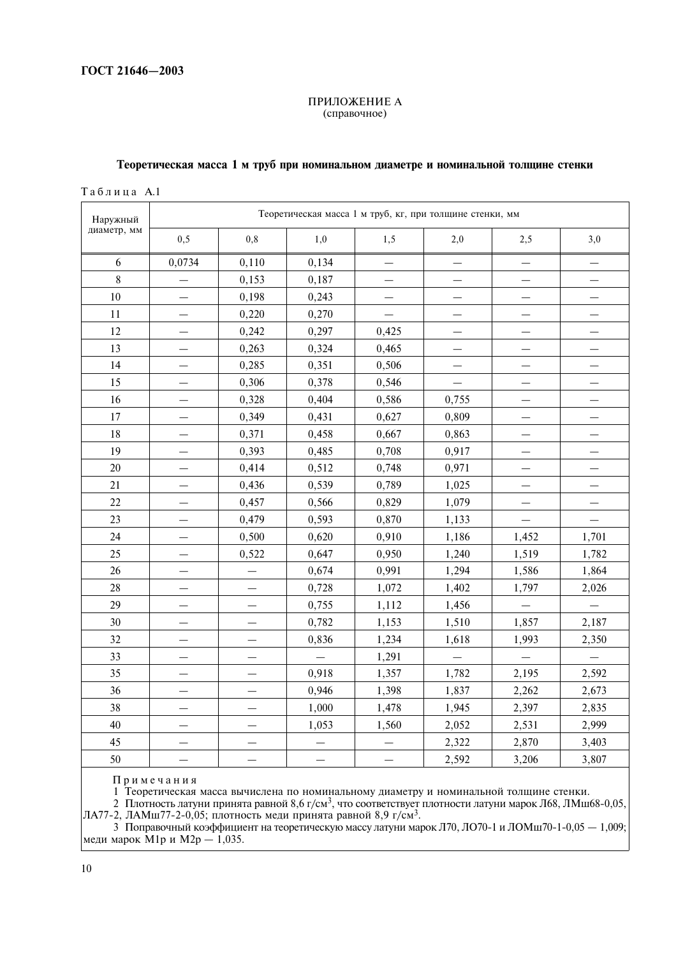#### ПРИЛОЖЕНИЕ А (справочное)

## Теоретическая масса 1 м труб при номинальном диаметре и номинальной толщине стенки

Таблица А.1

| Наружный    |                          | Теоретическая масса 1 м труб, кг, при толщине стенки, мм |                          |                          |                          |                          |                          |  |  |
|-------------|--------------------------|----------------------------------------------------------|--------------------------|--------------------------|--------------------------|--------------------------|--------------------------|--|--|
| диаметр, мм | 0,5                      | 0,8                                                      | 1,0                      | 1,5                      | 2,0                      | 2,5                      | 3,0                      |  |  |
| 6           | 0,0734                   | 0,110                                                    | 0,134                    | $\overline{\phantom{0}}$ |                          | $\overline{\phantom{0}}$ |                          |  |  |
| 8           |                          | 0,153                                                    | 0,187                    |                          |                          |                          |                          |  |  |
| 10          |                          | 0,198                                                    | 0,243                    |                          |                          |                          |                          |  |  |
| 11          |                          | 0,220                                                    | 0,270                    |                          |                          |                          |                          |  |  |
| 12          |                          | 0,242                                                    | 0,297                    | 0,425                    |                          |                          |                          |  |  |
| 13          |                          | 0,263                                                    | 0,324                    | 0,465                    |                          |                          |                          |  |  |
| 14          |                          | 0,285                                                    | 0,351                    | 0,506                    |                          |                          |                          |  |  |
| 15          |                          | 0,306                                                    | 0,378                    | 0,546                    |                          |                          |                          |  |  |
| 16          |                          | 0,328                                                    | 0,404                    | 0,586                    | 0,755                    |                          |                          |  |  |
| 17          | $\overline{\phantom{0}}$ | 0,349                                                    | 0,431                    | 0,627                    | 0,809                    |                          |                          |  |  |
| 18          |                          | 0,371                                                    | 0,458                    | 0,667                    | 0,863                    |                          |                          |  |  |
| 19          |                          | 0,393                                                    | 0,485                    | 0,708                    | 0,917                    |                          |                          |  |  |
| 20          |                          | 0,414                                                    | 0,512                    | 0,748                    | 0,971                    |                          |                          |  |  |
| 21          |                          | 0,436                                                    | 0,539                    | 0,789                    | 1,025                    |                          |                          |  |  |
| 22          |                          | 0,457                                                    | 0,566                    | 0,829                    | 1,079                    |                          |                          |  |  |
| 23          |                          | 0,479                                                    | 0,593                    | 0,870                    | 1,133                    |                          |                          |  |  |
| 24          |                          | 0,500                                                    | 0,620                    | 0,910                    | 1,186                    | 1,452                    | 1,701                    |  |  |
| 25          |                          | 0,522                                                    | 0,647                    | 0,950                    | 1,240                    | 1,519                    | 1,782                    |  |  |
| 26          |                          |                                                          | 0,674                    | 0,991                    | 1,294                    | 1,586                    | 1,864                    |  |  |
| 28          |                          |                                                          | 0,728                    | 1,072                    | 1,402                    | 1,797                    | 2,026                    |  |  |
| 29          |                          |                                                          | 0,755                    | 1,112                    | 1,456                    |                          |                          |  |  |
| 30          |                          |                                                          | 0,782                    | 1,153                    | 1,510                    | 1,857                    | 2,187                    |  |  |
| 32          |                          |                                                          | 0,836                    | 1,234                    | 1,618                    | 1,993                    | 2,350                    |  |  |
| 33          |                          |                                                          | $\overline{\phantom{0}}$ | 1,291                    | $\overline{\phantom{0}}$ |                          | $\overline{\phantom{0}}$ |  |  |
| 35          |                          |                                                          | 0,918                    | 1,357                    | 1,782                    | 2,195                    | 2,592                    |  |  |
| 36          |                          |                                                          | 0,946                    | 1,398                    | 1,837                    | 2,262                    | 2,673                    |  |  |
| 38          |                          |                                                          | 1,000                    | 1,478                    | 1,945                    | 2,397                    | 2,835                    |  |  |
| 40          |                          |                                                          | 1,053                    | 1,560                    | 2,052                    | 2,531                    | 2,999                    |  |  |
| 45          |                          |                                                          |                          |                          | 2,322                    | 2,870                    | 3,403                    |  |  |
| 50          |                          |                                                          |                          |                          | 2,592                    | 3,206                    | 3,807                    |  |  |

Примечания

11 риме чания<br>1 Теоретическая масса вычислена по номинальному диаметру и номинальной толщине стенки.<br>2 Плотность латуни принята равной 8,6 г/см<sup>3</sup>, что соответствует плотности латуни марок Л68, ЛМш68-0,05,<br>ЛА77-2, ЛАМш77

 $\frac{3}{3}$  Поправочный коэффициент на теоретическую массу латуни марок Л70, ЛО70-1 и ЛОМш70-1-0,05 — 1,009;<br>меди марок М1р и М2р — 1,035.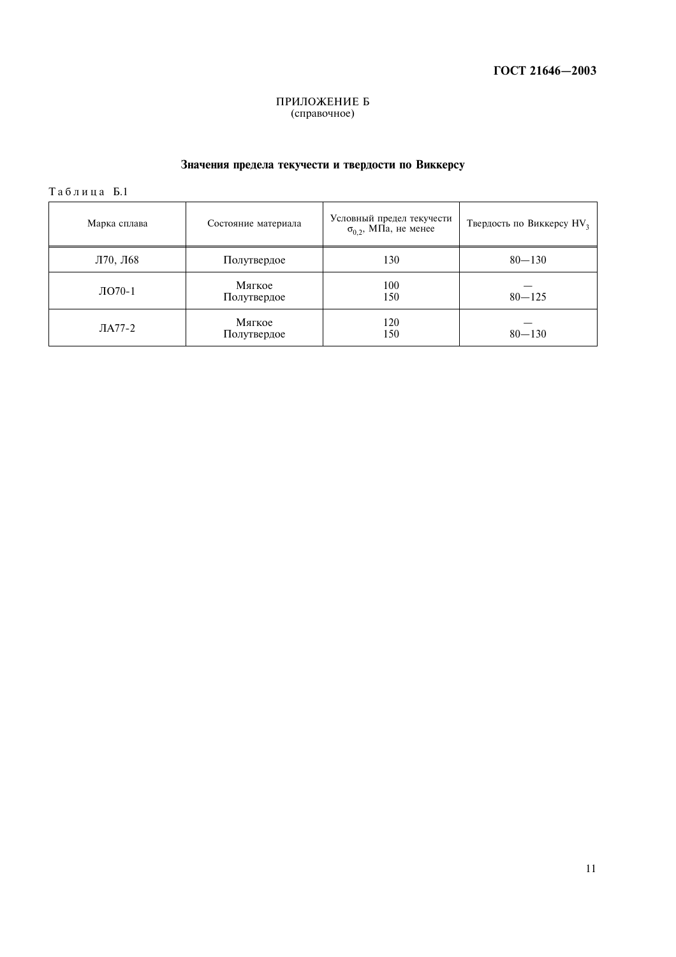# ПРИЛОЖЕНИЕ Б<br>(справочное)

# Значения предела текучести и твердости по Виккерсу

Таблица Б.1

| Марка сплава | Состояние материала   | Условный предел текучести<br>$\sigma_{0.2}$ , МПа, не менее | Твердость по Виккерсу HV <sub>3</sub> |
|--------------|-----------------------|-------------------------------------------------------------|---------------------------------------|
| Л70, Л68     | Полутвердое           | 130                                                         | $80 - 130$                            |
| ЛО70-1       | Мягкое<br>Полутвердое | 100<br>150                                                  | $80 - 125$                            |
| $JIA77-2$    | Мягкое<br>Полутвердое | 120<br>150                                                  | $80 - 130$                            |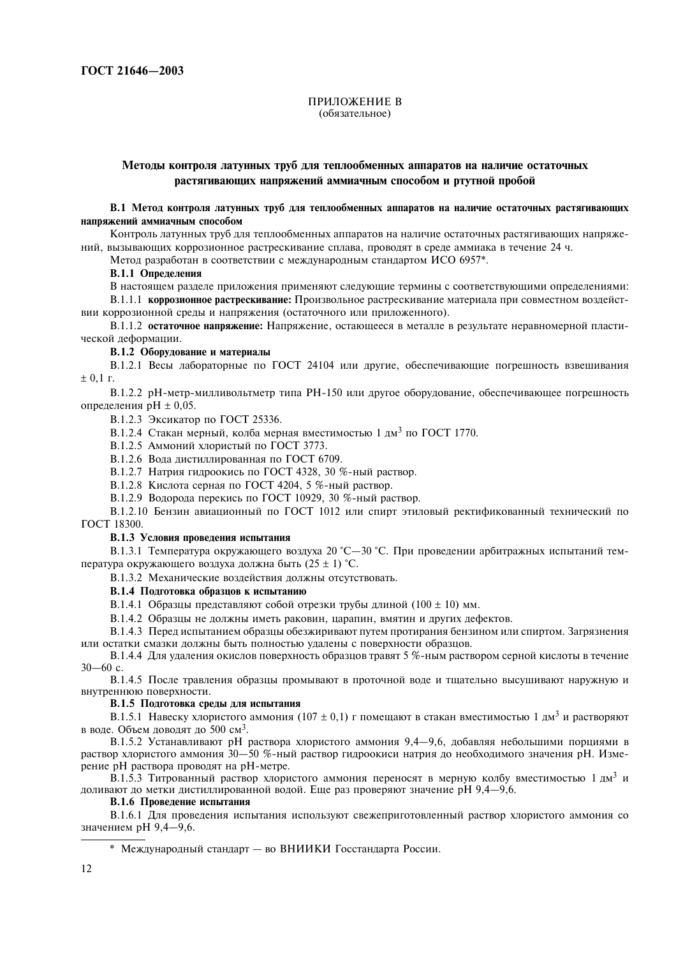#### ПРИЛОЖЕНИЕ В (обязательное)

## Методы контроля латунных труб для теплообменных аппаратов на наличие остаточных растягивающих напряжений аммиачным способом и ртутной пробой

В.1 Метод контроля латунных труб для теплообменных аппаратов на наличие остаточных растягивающих напряжений аммиачным способом

Контроль латунных труб для теплообменных аппаратов на наличие остаточных растягивающих напряжений, вызывающих коррозионное растрескивание сплава, проволят в среле аммиака в течение 24 ч.

Метол разработан в соответствии с межлунаролным станлартом ИСО 6957\*.

В.1.1 Определения

В настоящем разлеле приложения применяют следующие термины с соответствующими определениями:

В.1.1.1 коррозионное растрескивание: Произвольное растрескивание материала при совместном воздействии коррозионной срелы и напряжения (остаточного или приложенного).

В.1.1.2 остаточное напряжение: Напряжение, остающееся в металле в результате неравномерной пластической деформации.

#### В.1.2 Оборудование и материалы

B.1.2.1 Весы лабораторные по ГОСТ 24104 или лругие, обеспечивающие погрешность взвешивания  $\pm$  0.1 r.

В.1.2.2 рН-метр-милливольтметр типа PH-150 или другое оборудование, обеспечивающее погрешность определения р $H \pm 0.05$ .

B.1.2.3 Эксикатор по ГОСТ 25336.

В.1.2.4 Стакан мерный, колба мерная вместимостью 1 лм<sup>3</sup> по ГОСТ 1770.

В.1.2.5 Аммоний хлористый по ГОСТ 3773.

В.1.2.6 Вода дистиллированная по ГОСТ 6709.

В.1.2.7 Натрия гидроокись по ГОСТ 4328, 30 %-ный раствор.

 $B.1.2.8$  Кислота серная по ГОСТ 4204, 5 %-ный раствор.

В.1.2.9 Водорода перекись по ГОСТ 10929, 30 %-ный раствор.

В.1.2.10 Бензин авиационный по ГОСТ 1012 или спирт этиловый ректификованный технический по ГОСТ 18300.

#### В.1.3 Условия проведения испытания

В.1.3.1 Температура окружающего возлуха 20 °С—30 °С. При провелении арбитражных испытаний температура окружающего воздуха должна быть  $(25 \pm 1)$  °С.

В.1.3.2 Механические возлействия лолжны отсутствовать.

## В.1.4 Подготовка образцов к испытанию

В.1.4.1 Образцы представляют собой отрезки трубы длиной (100  $\pm$  10) мм.

В.1.4.2 Образцы не должны иметь раковин, царапин, вмятин и других дефектов.

В.1.4.3 Перед испытанием образцы обезжиривают путем протирания бензином или спиртом. Загрязнения или остатки смазки должны быть полностью удалены с поверхности образцов.

В.1.4.4 Для удаления окислов поверхность образцов травят 5 %-ным раствором серной кислоты в течение  $30 - 60$  c.

B.1.4.5 После травления образны промывают в проточной воле и тшательно высушивают наружную и внутреннюю поверхности.

#### В.1.5 Подготовка среды для испытания

В.1.5.1 Навеску хлористого аммония (107  $\pm$  0,1) г помещают в стакан вместимостью 1 дм<sup>3</sup> и растворяют в воле. Объем ловолят ло 500 см<sup>3</sup>.

 $B.1.5.2$  Устанавливают рН раствора хлористого аммония 9.4—9.6. лобавляя небольшими поршиями в раствор хлористого аммония 30—50 %-ный раствор гилроокиси натрия ло необхолимого значения рН. Измерение рН раствора проводят на рН-метре.

В.1.5.3 Титрованный раствор хлористого аммония переносят в мерную колбу вместимостью 1 лм<sup>3</sup> и лоливают ло метки листиллированной волой. Еще раз проверяют значение рН 9.4—9.6.

#### В.1.6 Проведение испытания

В.1.6.1 Для проведения испытания используют свежеприготовленный раствор хлористого аммония со  $3H$ ачением pH 9.4–9.6.

 $*$  Международный стандарт — во ВНИИКИ Госстандарта России.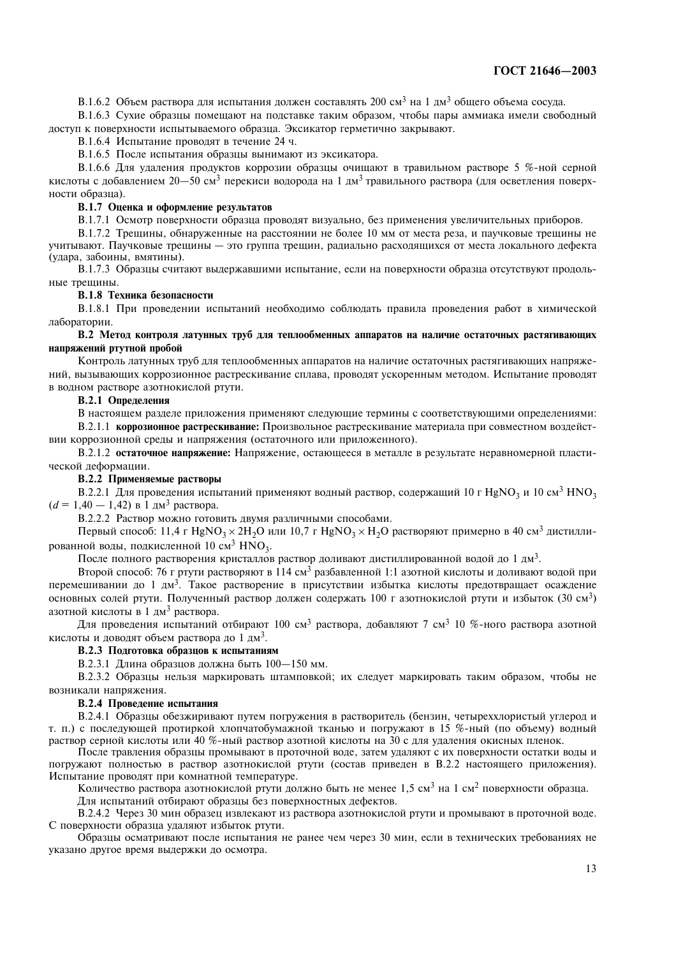В.1.6.2 Объем раствора для испытания должен составлять 200 см<sup>3</sup> на 1 дм<sup>3</sup> общего объема сосуда.

В.1.6.3 Сухие образцы помешают на полставке таким образом, чтобы пары аммиака имели своболный доступ к поверхности испытываемого образца. Эксикатор герметично закрывают.

 $B.1.6.4$  Испытание проволят в течение 24 ч.

В.1.6.5 После испытания образцы вынимают из эксикатора.

В.1.6.6 Для удаления продуктов коррозии образцы очишают в травильном растворе 5 %-ной серной кислоты с лобавлением 20—50 см<sup>3</sup> перекиси волорола на 1 лм<sup>3</sup> травильного раствора (для осветления поверхности образца).

#### В.1.7 Оценка и оформление результатов

В.1.7.1 Осмотр поверхности образца проводят визуально, без применения увеличительных приборов.

 $B.1.7.2$  Трешины, обнаруженные на расстоянии не более 10 мм от места реза, и паучковые трешины не vчитывают. Паучковые трешины — это группа трешин, радиально расходяшихся от места локального дефекта (удара, забоины, вмятины).

В.1.7.3 Образны считают вылержавшими испытание, если на поверхности образна отсутствуют продольные трешины.

#### В.1.8 Техника безопасности

В.1.8.1 При провелении испытаний необхолимо соблюлать правила провеления работ в химической лаборатории.

#### В.2 Метод контроля латунных труб для теплообменных аппаратов на наличие остаточных растягивающих напряжений ртутной пробой

Контроль латунных труб для теплообменных аппаратов на наличие остаточных растягивающих напряжений, вызывающих коррозионное растрескивание сплава, проволят ускоренным метолом. Испытание проволят в волном растворе азотнокислой ртути.

#### В.2.1 Определения

В настоящем разлеле приложения применяют следующие термины с соответствующими определениями:

В.2.1.1 коррозионное растрескивание: Произвольное растрескивание материала при совместном воздействии коррозионной срелы и напряжения (остаточного или приложенного).

В.2.1.2 остаточное напряжение: Напряжение, остающееся в металле в результате неравномерной пластической деформации.

## В.2.2 Применяемые растворы

В.2.2.1 Для проведения испытаний применяют водный раствор, содержащий 10 г HgNO<sub>3</sub> и 10 см<sup>3</sup> HNO<sub>3</sub>  $(d = 1, 40 - 1, 42)$  в 1 дм<sup>3</sup> раствора.

В.2.2.2 Раствор можно готовить двумя различными способами.

Первый способ: 11,4 г HgNO<sub>3</sub> × 2H<sub>2</sub>O или 10,7 г HgNO<sub>3</sub> × H<sub>2</sub>O растворяют примерно в 40 см<sup>3</sup> дистиллированной воды, подкисленной 10 см $^3$   $\rm HNO_3$ .

После полного растворения кристаллов раствор доливают дистиллированной водой до 1 дм<sup>3</sup>.

Второй способ: 76 г ртути растворяют в 114 см<sup>3</sup> разбавленной 1:1 азотной кислоты и доливают водой при перемешивании до 1 дм<sup>3</sup>. Такое растворение в присутствии избытка кислоты предотвращает осаждение основных солей ртути. Полученный раствор должен содержать 100 г азотнокислой ртути и избыток (30 см<sup>3</sup>) азотной кислоты в 1 лм<sup>3</sup> раствора.

Лля провеления испытаний отбирают 100 см<sup>3</sup> раствора, лобавляют 7 см<sup>3</sup> 10 %-ного раствора азотной кислоты и доводят объем раствора до 1 дм<sup>3</sup>.

#### В.2.3 Подготовка образцов к испытаниям

В.2.3.1 Длина образцов должна быть 100-150 мм.

В.2.3.2 Образны нельзя маркировать штамповкой: их слелует маркировать таким образом, чтобы не возникали напряжения.

#### В.2.4 Проведение испытания

В.2.4.1 Образны обезжиривают путем погружения в растворитель (бензин, четыреххлористый углерод и т. п.) с послелующей протиркой хлопчатобумажной тканью и погружают в 15 %-ный (по объему) водный раствор серной кислоты или 40 %-ный раствор азотной кислоты на 30 с для удаления окисных пленок.

После травления образцы промывают в проточной воле, затем улаляют с их поверхности остатки волы и погружают полностью в раствор азотнокислой ртути (состав приведен в В.2.2 настоящего приложения). Испытание проводят при комнатной температуре.

Количество раствора азотнокислой ртути лолжно быть не менее 1.5 см<sup>3</sup> на 1 см<sup>2</sup> поверхности образца.

Для испытаний отбирают образны без поверхностных лефектов.

 $B.2.4.2$  Через 30 мин образен извлекают из раствора азотнокислой ртути и промывают в проточной воле. С поверхности образца улаляют избыток ртути.

Образны осматривают после испытания не ранее чем через 30 мин. если в технических требованиях не указано другое время выдержки до осмотра.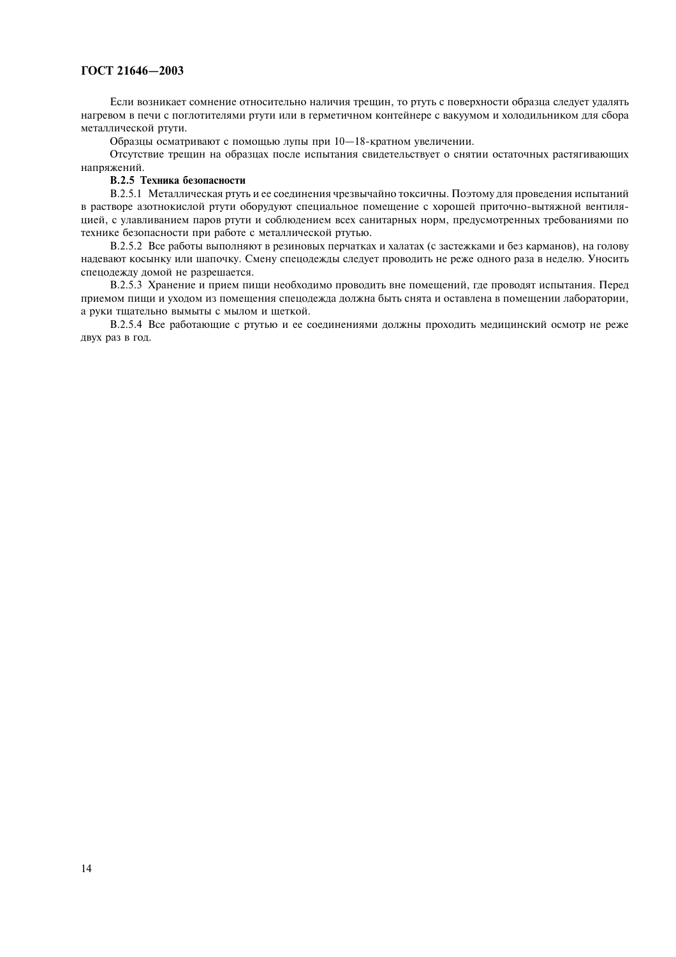## ГОСТ 21646-2003

Если возникает сомнение относительно наличия трещин, то ртуть с поверхности образца следует удалять нагревом в печи с поглотителями ртути или в герметичном контейнере с вакуумом и холодильником для сбора металлической ртути.

Образцы осматривают с помощью лупы при 10-18-кратном увеличении.

Отсутствие трещин на образцах после испытания свидетельствует о снятии остаточных растягивающих напряжений.

## В.2.5 Техника безопасности

В.2.5.1 Металлическая ртуть и ее соединения чрезвычайно токсичны. Поэтому для проведения испытаний в растворе азотнокислой ртути оборудуют специальное помещение с хорошей приточно-вытяжной вентиляцией, с улавливанием паров ртути и соблюдением всех санитарных норм, предусмотренных требованиями по технике безопасности при работе с металлической ртутью.

В.2.5.2 Все работы выполняют в резиновых перчатках и халатах (с застежками и без карманов), на голову надевают косынку или шапочку. Смену спецодежды следует проводить не реже одного раза в неделю. Уносить спецодежду домой не разрешается.

В.2.5.3 Хранение и прием пищи необходимо проводить вне помещений, где проводят испытания. Перед приемом пищи и уходом из помещения спецодежда должна быть снята и оставлена в помещении лаборатории, а руки тщательно вымыты с мылом и щеткой.

В.2.5.4 Все работающие с ртутью и ее соединениями должны проходить медицинский осмотр не реже двух раз в год.